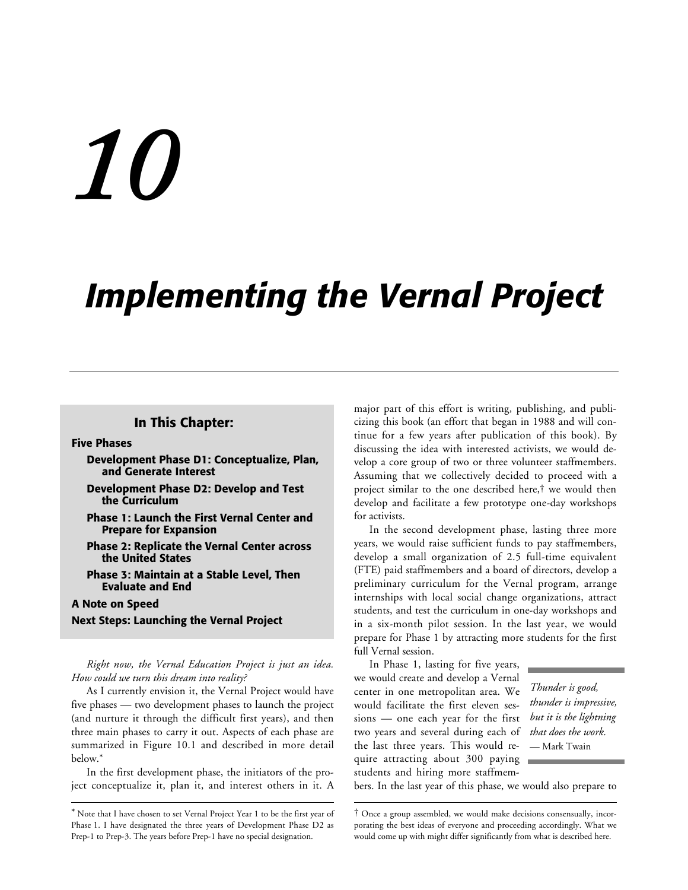# *10*

# *Implementing the Vernal Project*

# **In This Chapter:**

#### **Five Phases**

- **Development Phase D1: Conceptualize, Plan, and Generate Interest**
- **Development Phase D2: Develop and Test the Curriculum**
- **Phase 1: Launch the First Vernal Center and Prepare for Expansion**
- **Phase 2: Replicate the Vernal Center across the United States**
- **Phase 3: Maintain at a Stable Level, Then Evaluate and End**

#### **A Note on Speed**

-

**Next Steps: Launching the Vernal Project**

*Right now, the Vernal Education Project is just an idea. How could we turn this dream into reality?*

As I currently envision it, the Vernal Project would have five phases — two development phases to launch the project (and nurture it through the difficult first years), and then three main phases to carry it out. Aspects of each phase are summarized in Figure 10.1 and described in more detail below.\*

In the first development phase, the initiators of the project conceptualize it, plan it, and interest others in it. A major part of this effort is writing, publishing, and publicizing this book (an effort that began in 1988 and will continue for a few years after publication of this book). By discussing the idea with interested activists, we would develop a core group of two or three volunteer staffmembers. Assuming that we collectively decided to proceed with a project similar to the one described here,† we would then develop and facilitate a few prototype one-day workshops for activists.

In the second development phase, lasting three more years, we would raise sufficient funds to pay staffmembers, develop a small organization of 2.5 full-time equivalent (FTE) paid staffmembers and a board of directors, develop a preliminary curriculum for the Vernal program, arrange internships with local social change organizations, attract students, and test the curriculum in one-day workshops and in a six-month pilot session. In the last year, we would prepare for Phase 1 by attracting more students for the first full Vernal session.

In Phase 1, lasting for five years, we would create and develop a Vernal center in one metropolitan area. We would facilitate the first eleven sessions — one each year for the first two years and several during each of the last three years. This would require attracting about 300 paying students and hiring more staffmem-

 $\overline{a}$ 

*Thunder is good, thunder is impressive, but it is the lightning that does the work.* — Mark Twain

bers. In the last year of this phase, we would also prepare to

<sup>\*</sup> Note that I have chosen to set Vernal Project Year 1 to be the first year of Phase 1. I have designated the three years of Development Phase D2 as Prep-1 to Prep-3. The years before Prep-1 have no special designation.

<sup>†</sup> Once a group assembled, we would make decisions consensually, incorporating the best ideas of everyone and proceeding accordingly. What we would come up with might differ significantly from what is described here.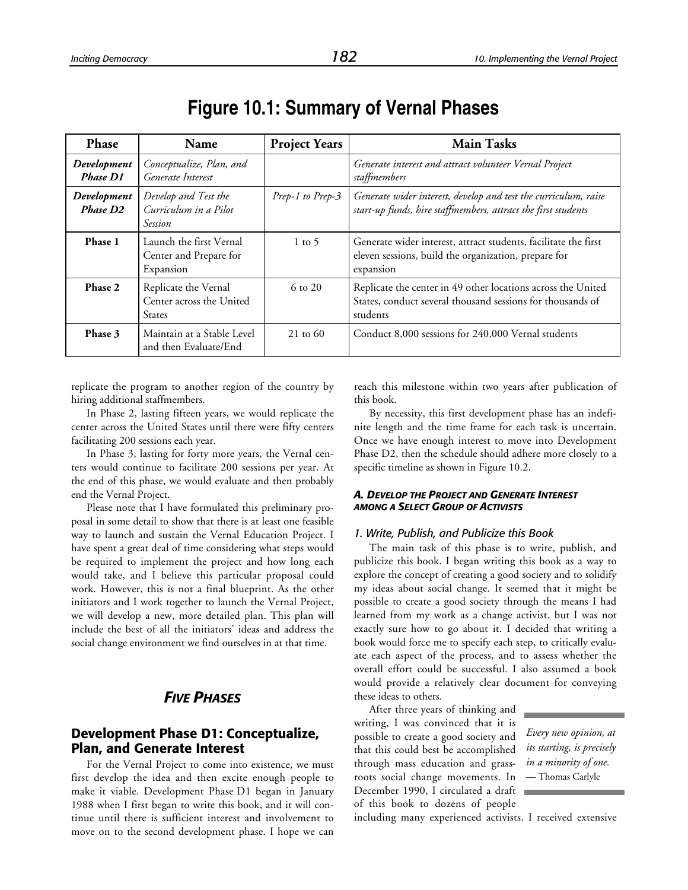| <b>Phase</b>                        | Name                                                              | <b>Project Years</b> | <b>Main Tasks</b>                                                                                                                      |  |  |  |  |  |
|-------------------------------------|-------------------------------------------------------------------|----------------------|----------------------------------------------------------------------------------------------------------------------------------------|--|--|--|--|--|
| Development<br><b>Phase D1</b>      | Conceptualize, Plan, and<br>Generate Interest                     |                      | Generate interest and attract volunteer Vernal Project<br>staffmembers                                                                 |  |  |  |  |  |
| Development<br>Phase D <sub>2</sub> | Develop and Test the<br>Curriculum in a Pilot<br><b>Session</b>   | Prep-1 to Prep-3     | Generate wider interest, develop and test the curriculum, raise<br>start-up funds, hire staffmembers, attract the first students       |  |  |  |  |  |
| Phase 1                             | Launch the first Vernal<br>Center and Prepare for<br>Expansion    | $1 \text{ to } 5$    | Generate wider interest, attract students, facilitate the first<br>eleven sessions, build the organization, prepare for<br>expansion   |  |  |  |  |  |
| Phase 2                             | Replicate the Vernal<br>Center across the United<br><b>States</b> | $6 \text{ to } 20$   | Replicate the center in 49 other locations across the United<br>States, conduct several thousand sessions for thousands of<br>students |  |  |  |  |  |
| Phase 3                             | Maintain at a Stable Level<br>and then Evaluate/End               | $21 \text{ to } 60$  | Conduct 8,000 sessions for 240,000 Vernal students                                                                                     |  |  |  |  |  |

# **Figure 10.1: Summary of Vernal Phases**

replicate the program to another region of the country by hiring additional staffmembers.

In Phase 2, lasting fifteen years, we would replicate the center across the United States until there were fifty centers facilitating 200 sessions each year.

In Phase 3, lasting for forty more years, the Vernal centers would continue to facilitate 200 sessions per year. At the end of this phase, we would evaluate and then probably end the Vernal Project.

Please note that I have formulated this preliminary proposal in some detail to show that there is at least one feasible way to launch and sustain the Vernal Education Project. I have spent a great deal of time considering what steps would be required to implement the project and how long each would take, and I believe this particular proposal could work. However, this is not a final blueprint. As the other initiators and I work together to launch the Vernal Project, we will develop a new, more detailed plan. This plan will include the best of all the initiators' ideas and address the social change environment we find ourselves in at that time.

# *FIVE PHASES*

# **Development Phase D1: Conceptualize, Plan, and Generate Interest**

For the Vernal Project to come into existence, we must first develop the idea and then excite enough people to make it viable. Development Phase D1 began in January 1988 when I first began to write this book, and it will continue until there is sufficient interest and involvement to move on to the second development phase. I hope we can reach this milestone within two years after publication of this book.

By necessity, this first development phase has an indefinite length and the time frame for each task is uncertain. Once we have enough interest to move into Development Phase D2, then the schedule should adhere more closely to a specific timeline as shown in Figure 10.2.

#### *A. DEVELOP THE PROJECT AND GENERATE INTEREST AMONG A SELECT GROUP OF ACTIVISTS*

#### *1. Write, Publish, and Publicize this Book*

The main task of this phase is to write, publish, and publicize this book. I began writing this book as a way to explore the concept of creating a good society and to solidify my ideas about social change. It seemed that it might be possible to create a good society through the means I had learned from my work as a change activist, but I was not exactly sure how to go about it. I decided that writing a book would force me to specify each step, to critically evaluate each aspect of the process, and to assess whether the overall effort could be successful. I also assumed a book would provide a relatively clear document for conveying these ideas to others.

After three years of thinking and writing, I was convinced that it is possible to create a good society and that this could best be accomplished through mass education and grassroots social change movements. In December 1990, I circulated a draft of this book to dozens of people

*Every new opinion, at its starting, is precisely in a minority of one.* — Thomas Carlyle

including many experienced activists. I received extensive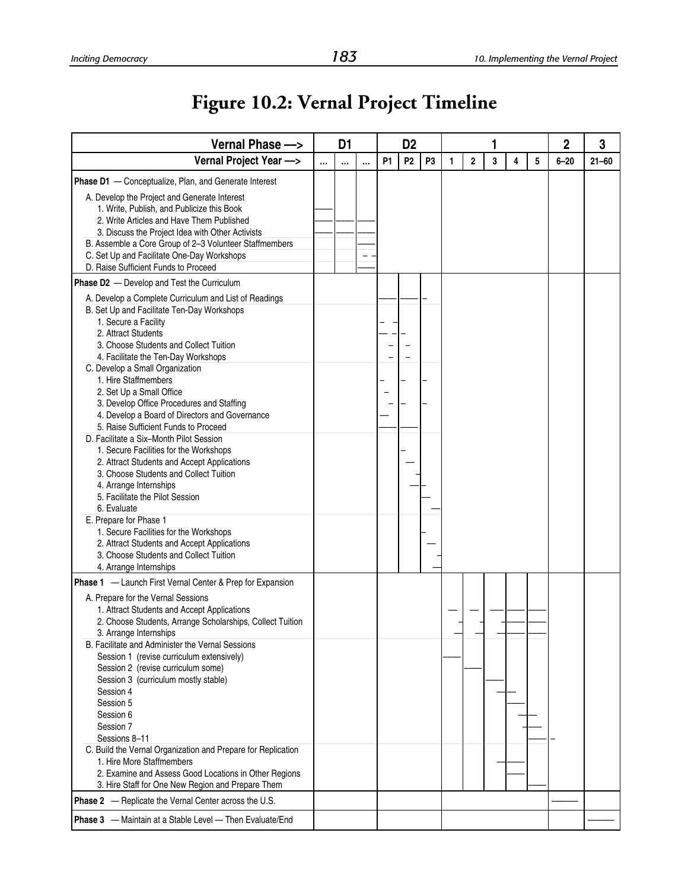# **Figure 10.2: Vernal Project Timeline**

| Vernal Phase ->                                                                         |  | D <sub>1</sub> |          | D <sub>2</sub> |                |                |   |              |   |   |   | 2        | 3         |
|-----------------------------------------------------------------------------------------|--|----------------|----------|----------------|----------------|----------------|---|--------------|---|---|---|----------|-----------|
| Vernal Project Year --->                                                                |  | $\cdots$       | $\cdots$ | P <sub>1</sub> | P <sub>2</sub> | P <sub>3</sub> | 1 | $\mathbf{2}$ | 3 | 4 | 5 | $6 - 20$ | $21 - 60$ |
| <b>Phase D1</b> - Conceptualize, Plan, and Generate Interest                            |  |                |          |                |                |                |   |              |   |   |   |          |           |
| A. Develop the Project and Generate Interest                                            |  |                |          |                |                |                |   |              |   |   |   |          |           |
| 1. Write, Publish, and Publicize this Book<br>2. Write Articles and Have Them Published |  |                |          |                |                |                |   |              |   |   |   |          |           |
| 3. Discuss the Project Idea with Other Activists                                        |  |                |          |                |                |                |   |              |   |   |   |          |           |
| B. Assemble a Core Group of 2-3 Volunteer Staffmembers                                  |  |                |          |                |                |                |   |              |   |   |   |          |           |
| C. Set Up and Facilitate One-Day Workshops                                              |  |                |          |                |                |                |   |              |   |   |   |          |           |
| D. Raise Sufficient Funds to Proceed                                                    |  |                |          |                |                |                |   |              |   |   |   |          |           |
| Phase D2 - Develop and Test the Curriculum                                              |  |                |          |                |                |                |   |              |   |   |   |          |           |
| A. Develop a Complete Curriculum and List of Readings                                   |  |                |          |                |                |                |   |              |   |   |   |          |           |
| B. Set Up and Facilitate Ten-Day Workshops                                              |  |                |          |                |                |                |   |              |   |   |   |          |           |
| 1. Secure a Facility                                                                    |  |                |          |                |                |                |   |              |   |   |   |          |           |
| 2. Attract Students                                                                     |  |                |          |                |                |                |   |              |   |   |   |          |           |
| 3. Choose Students and Collect Tuition                                                  |  |                |          |                |                |                |   |              |   |   |   |          |           |
| 4. Facilitate the Ten-Day Workshops                                                     |  |                |          |                |                |                |   |              |   |   |   |          |           |
| C. Develop a Small Organization                                                         |  |                |          |                |                |                |   |              |   |   |   |          |           |
| 1. Hire Staffmembers                                                                    |  |                |          |                |                |                |   |              |   |   |   |          |           |
| 2. Set Up a Small Office                                                                |  |                |          |                |                |                |   |              |   |   |   |          |           |
| 3. Develop Office Procedures and Staffing                                               |  |                |          |                |                |                |   |              |   |   |   |          |           |
| 4. Develop a Board of Directors and Governance<br>5. Raise Sufficient Funds to Proceed  |  |                |          |                |                |                |   |              |   |   |   |          |           |
| D. Facilitate a Six-Month Pilot Session                                                 |  |                |          |                |                |                |   |              |   |   |   |          |           |
| 1. Secure Facilities for the Workshops                                                  |  |                |          |                |                |                |   |              |   |   |   |          |           |
| 2. Attract Students and Accept Applications                                             |  |                |          |                |                |                |   |              |   |   |   |          |           |
| 3. Choose Students and Collect Tuition                                                  |  |                |          |                |                |                |   |              |   |   |   |          |           |
| 4. Arrange Internships                                                                  |  |                |          |                |                |                |   |              |   |   |   |          |           |
| 5. Facilitate the Pilot Session                                                         |  |                |          |                |                |                |   |              |   |   |   |          |           |
| 6. Evaluate                                                                             |  |                |          |                |                |                |   |              |   |   |   |          |           |
| E. Prepare for Phase 1                                                                  |  |                |          |                |                |                |   |              |   |   |   |          |           |
| 1. Secure Facilities for the Workshops                                                  |  |                |          |                |                |                |   |              |   |   |   |          |           |
| 2. Attract Students and Accept Applications                                             |  |                |          |                |                |                |   |              |   |   |   |          |           |
| 3. Choose Students and Collect Tuition                                                  |  |                |          |                |                |                |   |              |   |   |   |          |           |
| 4. Arrange Internships                                                                  |  |                |          |                |                |                |   |              |   |   |   |          |           |
| Phase 1 - Launch First Vernal Center & Prep for Expansion                               |  |                |          |                |                |                |   |              |   |   |   |          |           |
| A. Prepare for the Vernal Sessions                                                      |  |                |          |                |                |                |   |              |   |   |   |          |           |
| 1. Attract Students and Accept Applications                                             |  |                |          |                |                |                |   |              |   |   |   |          |           |
| 2. Choose Students, Arrange Scholarships, Collect Tuition<br>3. Arrange Internships     |  |                |          |                |                |                |   |              |   |   |   |          |           |
| B. Facilitate and Administer the Vernal Sessions                                        |  |                |          |                |                |                |   |              |   |   |   |          |           |
| Session 1 (revise curriculum extensively)                                               |  |                |          |                |                |                |   |              |   |   |   |          |           |
| Session 2 (revise curriculum some)                                                      |  |                |          |                |                |                |   |              |   |   |   |          |           |
| Session 3 (curriculum mostly stable)                                                    |  |                |          |                |                |                |   |              |   |   |   |          |           |
| Session 4                                                                               |  |                |          |                |                |                |   |              |   |   |   |          |           |
| Session 5                                                                               |  |                |          |                |                |                |   |              |   |   |   |          |           |
| Session 6                                                                               |  |                |          |                |                |                |   |              |   |   |   |          |           |
| Session 7                                                                               |  |                |          |                |                |                |   |              |   |   |   |          |           |
| Sessions 8-11                                                                           |  |                |          |                |                |                |   |              |   |   |   |          |           |
| C. Build the Vernal Organization and Prepare for Replication                            |  |                |          |                |                |                |   |              |   |   |   |          |           |
| 1. Hire More Staffmembers                                                               |  |                |          |                |                |                |   |              |   |   |   |          |           |
| 2. Examine and Assess Good Locations in Other Regions                                   |  |                |          |                |                |                |   |              |   |   |   |          |           |
| 3. Hire Staff for One New Region and Prepare Them                                       |  |                |          |                |                |                |   |              |   |   |   |          |           |
| <b>Phase 2</b> - Replicate the Vernal Center across the U.S.                            |  |                |          |                |                |                |   |              |   |   |   |          |           |
| Phase 3 - Maintain at a Stable Level - Then Evaluate/End                                |  |                |          |                |                |                |   |              |   |   |   |          |           |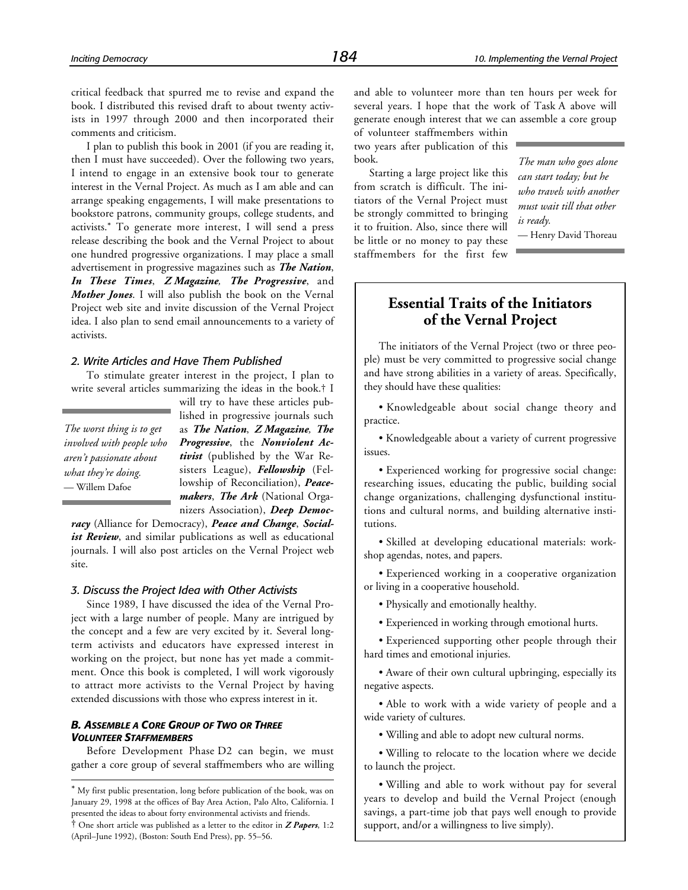critical feedback that spurred me to revise and expand the book. I distributed this revised draft to about twenty activists in 1997 through 2000 and then incorporated their comments and criticism.

I plan to publish this book in 2001 (if you are reading it, then I must have succeeded). Over the following two years, I intend to engage in an extensive book tour to generate interest in the Vernal Project. As much as I am able and can arrange speaking engagements, I will make presentations to bookstore patrons, community groups, college students, and activists.\* To generate more interest, I will send a press release describing the book and the Vernal Project to about one hundred progressive organizations. I may place a small advertisement in progressive magazines such as *The Nation*, *In These Times*, *Z Magazine, The Progressive*, and *Mother Jones*. I will also publish the book on the Vernal Project web site and invite discussion of the Vernal Project idea. I also plan to send email announcements to a variety of activists.

#### *2. Write Articles and Have Them Published*

To stimulate greater interest in the project, I plan to write several articles summarizing the ideas in the book.† I

*The worst thing is to get involved with people who aren't passionate about what they're doing.* — Willem Dafoe

-

will try to have these articles published in progressive journals such as *The Nation*, *Z Magazine, The Progressive*, the *Nonviolent Activist* (published by the War Resisters League), *Fellowship* (Fellowship of Reconciliation), *Peacemakers*, *The Ark* (National Organizers Association), *Deep Democ-*

*racy* (Alliance for Democracy), *Peace and Change*, *Social*ist Review, and similar publications as well as educational journals. I will also post articles on the Vernal Project web site.

#### *3. Discuss the Project Idea with Other Activists*

Since 1989, I have discussed the idea of the Vernal Project with a large number of people. Many are intrigued by the concept and a few are very excited by it. Several longterm activists and educators have expressed interest in working on the project, but none has yet made a commitment. Once this book is completed, I will work vigorously to attract more activists to the Vernal Project by having extended discussions with those who express interest in it.

#### *B. ASSEMBLE A CORE GROUP OF TWO OR THREE VOLUNTEER STAFFMEMBERS*

Before Development Phase D2 can begin, we must gather a core group of several staffmembers who are willing and able to volunteer more than ten hours per week for several years. I hope that the work of Task A above will generate enough interest that we can assemble a core group

of volunteer staffmembers within two years after publication of this book.

Starting a large project like this from scratch is difficult. The initiators of the Vernal Project must be strongly committed to bringing it to fruition. Also, since there will be little or no money to pay these staffmembers for the first few *The man who goes alone can start today; but he who travels with another must wait till that other is ready.*

— Henry David Thoreau

# **Essential Traits of the Initiators of the Vernal Project**

The initiators of the Vernal Project (two or three people) must be very committed to progressive social change and have strong abilities in a variety of areas. Specifically, they should have these qualities:

• Knowledgeable about social change theory and practice.

• Knowledgeable about a variety of current progressive issues.

• Experienced working for progressive social change: researching issues, educating the public, building social change organizations, challenging dysfunctional institutions and cultural norms, and building alternative institutions.

• Skilled at developing educational materials: workshop agendas, notes, and papers.

• Experienced working in a cooperative organization or living in a cooperative household.

• Physically and emotionally healthy.

• Experienced in working through emotional hurts.

• Experienced supporting other people through their hard times and emotional injuries.

• Aware of their own cultural upbringing, especially its negative aspects.

• Able to work with a wide variety of people and a wide variety of cultures.

• Willing and able to adopt new cultural norms.

• Willing to relocate to the location where we decide to launch the project.

• Willing and able to work without pay for several years to develop and build the Vernal Project (enough savings, a part-time job that pays well enough to provide support, and/or a willingness to live simply).

<sup>\*</sup> My first public presentation, long before publication of the book, was on January 29, 1998 at the offices of Bay Area Action, Palo Alto, California. I presented the ideas to about forty environmental activists and friends.

<sup>†</sup> One short article was published as a letter to the editor in *Z Papers*, 1:2 (April–June 1992), (Boston: South End Press), pp. 55–56.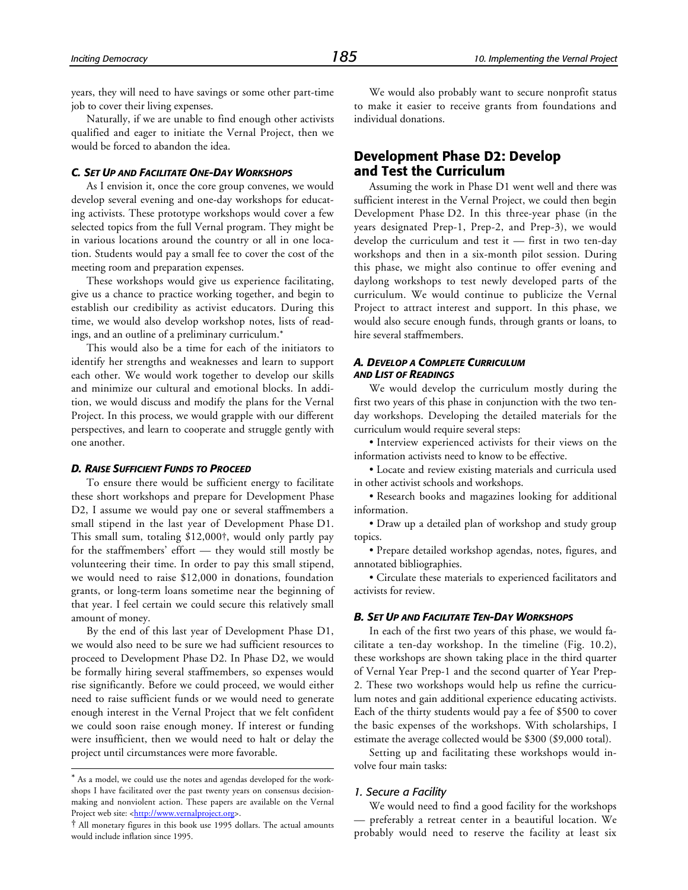years, they will need to have savings or some other part-time job to cover their living expenses.

Naturally, if we are unable to find enough other activists qualified and eager to initiate the Vernal Project, then we would be forced to abandon the idea.

#### *C. SET UP AND FACILITATE ONE-DAY WORKSHOPS*

As I envision it, once the core group convenes, we would develop several evening and one-day workshops for educating activists. These prototype workshops would cover a few selected topics from the full Vernal program. They might be in various locations around the country or all in one location. Students would pay a small fee to cover the cost of the meeting room and preparation expenses.

These workshops would give us experience facilitating, give us a chance to practice working together, and begin to establish our credibility as activist educators. During this time, we would also develop workshop notes, lists of readings, and an outline of a preliminary curriculum.\*

This would also be a time for each of the initiators to identify her strengths and weaknesses and learn to support each other. We would work together to develop our skills and minimize our cultural and emotional blocks. In addition, we would discuss and modify the plans for the Vernal Project. In this process, we would grapple with our different perspectives, and learn to cooperate and struggle gently with one another.

#### *D. RAISE SUFFICIENT FUNDS TO PROCEED*

To ensure there would be sufficient energy to facilitate these short workshops and prepare for Development Phase D2, I assume we would pay one or several staffmembers a small stipend in the last year of Development Phase D1. This small sum, totaling \$12,000†, would only partly pay for the staffmembers' effort — they would still mostly be volunteering their time. In order to pay this small stipend, we would need to raise \$12,000 in donations, foundation grants, or long-term loans sometime near the beginning of that year. I feel certain we could secure this relatively small amount of money.

By the end of this last year of Development Phase D1, we would also need to be sure we had sufficient resources to proceed to Development Phase D2. In Phase D2, we would be formally hiring several staffmembers, so expenses would rise significantly. Before we could proceed, we would either need to raise sufficient funds or we would need to generate enough interest in the Vernal Project that we felt confident we could soon raise enough money. If interest or funding were insufficient, then we would need to halt or delay the project until circumstances were more favorable.

-

We would also probably want to secure nonprofit status to make it easier to receive grants from foundations and individual donations.

# **Development Phase D2: Develop and Test the Curriculum**

Assuming the work in Phase D1 went well and there was sufficient interest in the Vernal Project, we could then begin Development Phase D2. In this three-year phase (in the years designated Prep-1, Prep-2, and Prep-3), we would develop the curriculum and test it — first in two ten-day workshops and then in a six-month pilot session. During this phase, we might also continue to offer evening and daylong workshops to test newly developed parts of the curriculum. We would continue to publicize the Vernal Project to attract interest and support. In this phase, we would also secure enough funds, through grants or loans, to hire several staffmembers.

#### *A. DEVELOP A COMPLETE CURRICULUM AND LIST OF READINGS*

We would develop the curriculum mostly during the first two years of this phase in conjunction with the two tenday workshops. Developing the detailed materials for the curriculum would require several steps:

• Interview experienced activists for their views on the information activists need to know to be effective.

• Locate and review existing materials and curricula used in other activist schools and workshops.

• Research books and magazines looking for additional information.

• Draw up a detailed plan of workshop and study group topics.

• Prepare detailed workshop agendas, notes, figures, and annotated bibliographies.

• Circulate these materials to experienced facilitators and activists for review.

#### *B. SET UP AND FACILITATE TEN-DAY WORKSHOPS*

In each of the first two years of this phase, we would facilitate a ten-day workshop. In the timeline (Fig. 10.2), these workshops are shown taking place in the third quarter of Vernal Year Prep-1 and the second quarter of Year Prep-2. These two workshops would help us refine the curriculum notes and gain additional experience educating activists. Each of the thirty students would pay a fee of \$500 to cover the basic expenses of the workshops. With scholarships, I estimate the average collected would be \$300 (\$9,000 total).

Setting up and facilitating these workshops would involve four main tasks:

#### *1. Secure a Facility*

We would need to find a good facility for the workshops — preferably a retreat center in a beautiful location. We probably would need to reserve the facility at least six

<sup>\*</sup> As a model, we could use the notes and agendas developed for the workshops I have facilitated over the past twenty years on consensus decisionmaking and nonviolent action. These papers are available on the Vernal Project web site: [<http://www.vernalproject.org>.](http://www.vernalproject.org)

<sup>†</sup> All monetary figures in this book use 1995 dollars. The actual amounts would include inflation since 1995.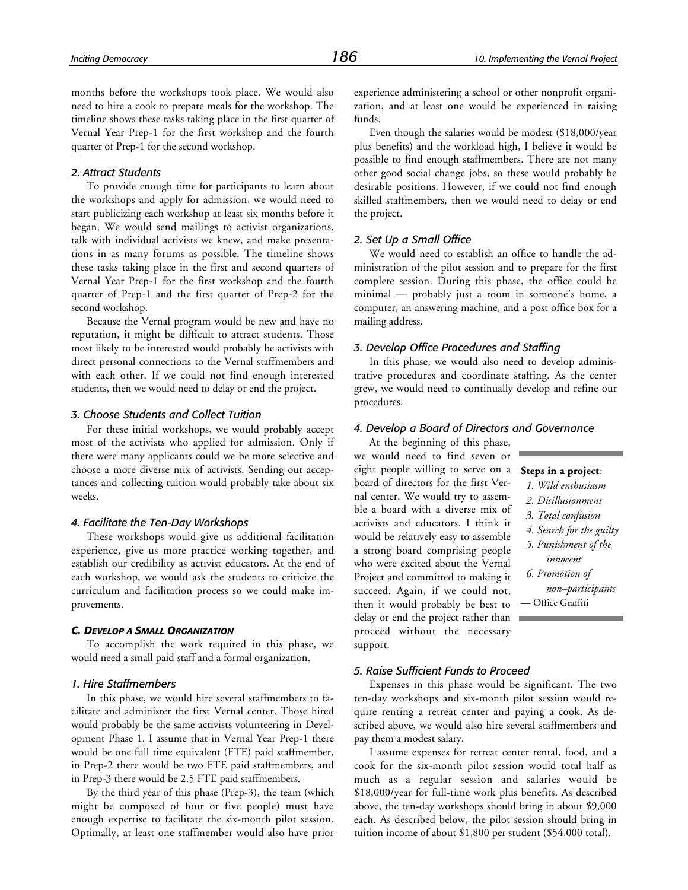months before the workshops took place. We would also need to hire a cook to prepare meals for the workshop. The timeline shows these tasks taking place in the first quarter of Vernal Year Prep-1 for the first workshop and the fourth quarter of Prep-1 for the second workshop.

#### *2. Attract Students*

To provide enough time for participants to learn about the workshops and apply for admission, we would need to start publicizing each workshop at least six months before it began. We would send mailings to activist organizations, talk with individual activists we knew, and make presentations in as many forums as possible. The timeline shows these tasks taking place in the first and second quarters of Vernal Year Prep-1 for the first workshop and the fourth quarter of Prep-1 and the first quarter of Prep-2 for the second workshop.

Because the Vernal program would be new and have no reputation, it might be difficult to attract students. Those most likely to be interested would probably be activists with direct personal connections to the Vernal staffmembers and with each other. If we could not find enough interested students, then we would need to delay or end the project.

#### *3. Choose Students and Collect Tuition*

For these initial workshops, we would probably accept most of the activists who applied for admission. Only if there were many applicants could we be more selective and choose a more diverse mix of activists. Sending out acceptances and collecting tuition would probably take about six weeks.

#### *4. Facilitate the Ten-Day Workshops*

These workshops would give us additional facilitation experience, give us more practice working together, and establish our credibility as activist educators. At the end of each workshop, we would ask the students to criticize the curriculum and facilitation process so we could make improvements.

#### *C. DEVELOP A SMALL ORGANIZATION*

To accomplish the work required in this phase, we would need a small paid staff and a formal organization.

#### *1. Hire Staffmembers*

In this phase, we would hire several staffmembers to facilitate and administer the first Vernal center. Those hired would probably be the same activists volunteering in Development Phase 1. I assume that in Vernal Year Prep-1 there would be one full time equivalent (FTE) paid staffmember, in Prep-2 there would be two FTE paid staffmembers, and in Prep-3 there would be 2.5 FTE paid staffmembers.

By the third year of this phase (Prep-3), the team (which might be composed of four or five people) must have enough expertise to facilitate the six-month pilot session. Optimally, at least one staffmember would also have prior experience administering a school or other nonprofit organization, and at least one would be experienced in raising funds.

Even though the salaries would be modest (\$18,000/year plus benefits) and the workload high, I believe it would be possible to find enough staffmembers. There are not many other good social change jobs, so these would probably be desirable positions. However, if we could not find enough skilled staffmembers, then we would need to delay or end the project.

#### *2. Set Up a Small Office*

We would need to establish an office to handle the administration of the pilot session and to prepare for the first complete session. During this phase, the office could be minimal — probably just a room in someone's home, a computer, an answering machine, and a post office box for a mailing address.

#### *3. Develop Office Procedures and Staffing*

In this phase, we would also need to develop administrative procedures and coordinate staffing. As the center grew, we would need to continually develop and refine our procedures.

#### *4. Develop a Board of Directors and Governance*

At the beginning of this phase, we would need to find seven or eight people willing to serve on a board of directors for the first Vernal center. We would try to assemble a board with a diverse mix of activists and educators. I think it would be relatively easy to assemble a strong board comprising people who were excited about the Vernal Project and committed to making it succeed. Again, if we could not, then it would probably be best to delay or end the project rather than proceed without the necessary support.

*5. Raise Sufficient Funds to Proceed*

pay them a modest salary.

#### **Steps in a project***:*

- *1. Wild enthusiasm*
- *2. Disillusionment*
- *3. Total confusion*
- *4. Search for the guilty*
- *5. Punishment of the innocent*
- *6. Promotion of*
- *non–participants* — Office Graffiti

Expenses in this phase would be significant. The two ten-day workshops and six-month pilot session would require renting a retreat center and paying a cook. As described above, we would also hire several staffmembers and

I assume expenses for retreat center rental, food, and a cook for the six-month pilot session would total half as much as a regular session and salaries would be \$18,000/year for full-time work plus benefits. As described above, the ten-day workshops should bring in about \$9,000 each. As described below, the pilot session should bring in tuition income of about \$1,800 per student (\$54,000 total).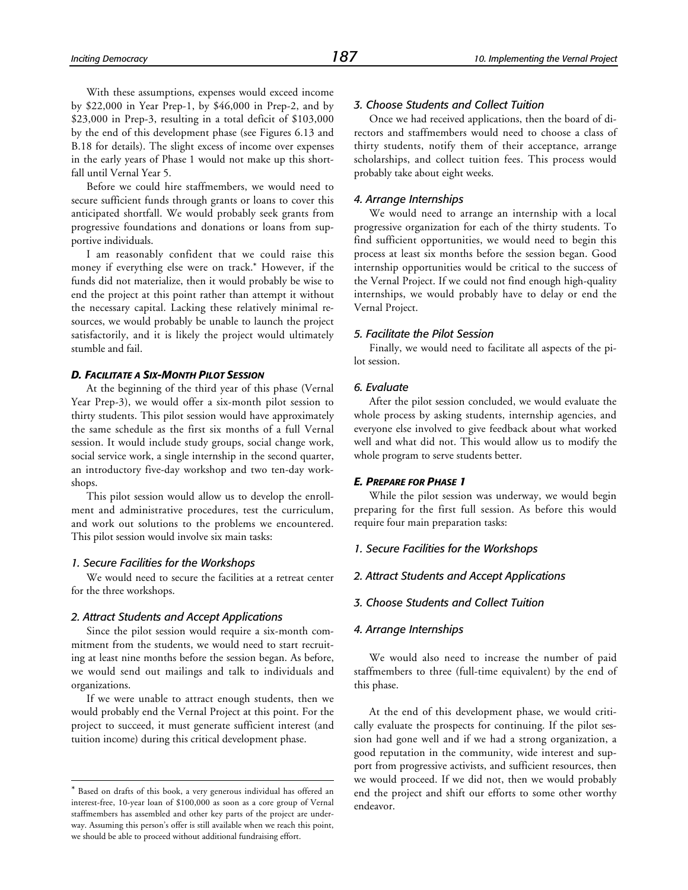With these assumptions, expenses would exceed income by \$22,000 in Year Prep-1, by \$46,000 in Prep-2, and by \$23,000 in Prep-3, resulting in a total deficit of \$103,000 by the end of this development phase (see Figures 6.13 and B.18 for details). The slight excess of income over expenses in the early years of Phase 1 would not make up this shortfall until Vernal Year 5.

Before we could hire staffmembers, we would need to secure sufficient funds through grants or loans to cover this anticipated shortfall. We would probably seek grants from progressive foundations and donations or loans from supportive individuals.

I am reasonably confident that we could raise this money if everything else were on track.\* However, if the funds did not materialize, then it would probably be wise to end the project at this point rather than attempt it without the necessary capital. Lacking these relatively minimal resources, we would probably be unable to launch the project satisfactorily, and it is likely the project would ultimately stumble and fail.

#### *D. FACILITATE A SIX-MONTH PILOT SESSION*

At the beginning of the third year of this phase (Vernal Year Prep-3), we would offer a six-month pilot session to thirty students. This pilot session would have approximately the same schedule as the first six months of a full Vernal session. It would include study groups, social change work, social service work, a single internship in the second quarter, an introductory five-day workshop and two ten-day workshops.

This pilot session would allow us to develop the enrollment and administrative procedures, test the curriculum, and work out solutions to the problems we encountered. This pilot session would involve six main tasks:

#### *1. Secure Facilities for the Workshops*

-

We would need to secure the facilities at a retreat center for the three workshops.

#### *2. Attract Students and Accept Applications*

Since the pilot session would require a six-month commitment from the students, we would need to start recruiting at least nine months before the session began. As before, we would send out mailings and talk to individuals and organizations.

If we were unable to attract enough students, then we would probably end the Vernal Project at this point. For the project to succeed, it must generate sufficient interest (and tuition income) during this critical development phase.

#### *3. Choose Students and Collect Tuition*

Once we had received applications, then the board of directors and staffmembers would need to choose a class of thirty students, notify them of their acceptance, arrange scholarships, and collect tuition fees. This process would probably take about eight weeks.

#### *4. Arrange Internships*

We would need to arrange an internship with a local progressive organization for each of the thirty students. To find sufficient opportunities, we would need to begin this process at least six months before the session began. Good internship opportunities would be critical to the success of the Vernal Project. If we could not find enough high-quality internships, we would probably have to delay or end the Vernal Project.

#### *5. Facilitate the Pilot Session*

Finally, we would need to facilitate all aspects of the pilot session.

#### *6. Evaluate*

After the pilot session concluded, we would evaluate the whole process by asking students, internship agencies, and everyone else involved to give feedback about what worked well and what did not. This would allow us to modify the whole program to serve students better.

#### *E. PREPARE FOR PHASE 1*

While the pilot session was underway, we would begin preparing for the first full session. As before this would require four main preparation tasks:

#### *1. Secure Facilities for the Workshops*

#### *2. Attract Students and Accept Applications*

#### *3. Choose Students and Collect Tuition*

#### *4. Arrange Internships*

We would also need to increase the number of paid staffmembers to three (full-time equivalent) by the end of this phase.

At the end of this development phase, we would critically evaluate the prospects for continuing. If the pilot session had gone well and if we had a strong organization, a good reputation in the community, wide interest and support from progressive activists, and sufficient resources, then we would proceed. If we did not, then we would probably end the project and shift our efforts to some other worthy endeavor.

<sup>\*</sup> Based on drafts of this book, a very generous individual has offered an interest-free, 10-year loan of \$100,000 as soon as a core group of Vernal staffmembers has assembled and other key parts of the project are underway. Assuming this person's offer is still available when we reach this point, we should be able to proceed without additional fundraising effort.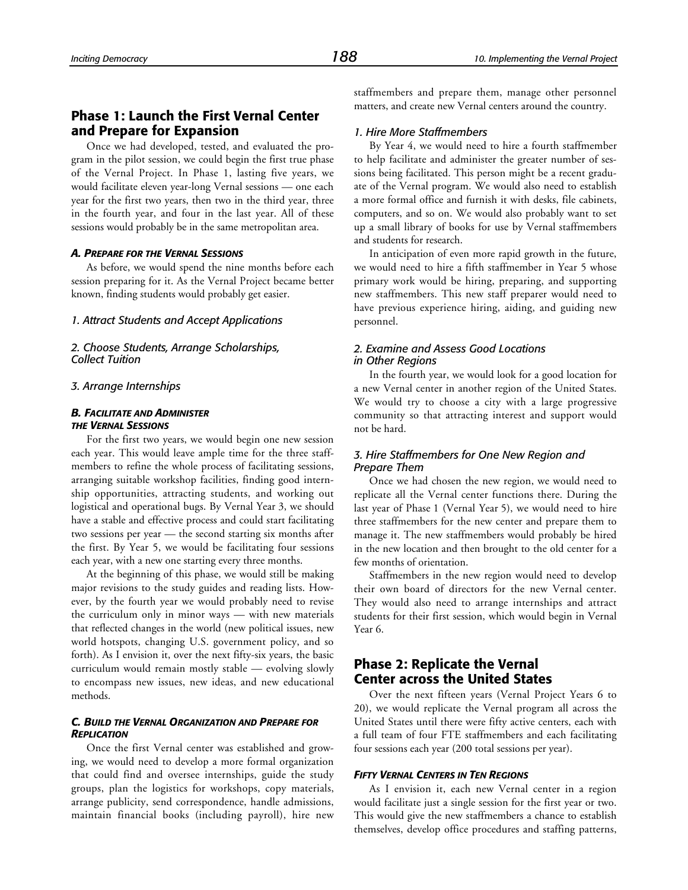# **Phase 1: Launch the First Vernal Center and Prepare for Expansion**

Once we had developed, tested, and evaluated the program in the pilot session, we could begin the first true phase of the Vernal Project. In Phase 1, lasting five years, we would facilitate eleven year-long Vernal sessions — one each year for the first two years, then two in the third year, three in the fourth year, and four in the last year. All of these sessions would probably be in the same metropolitan area.

#### *A. PREPARE FOR THE VERNAL SESSIONS*

As before, we would spend the nine months before each session preparing for it. As the Vernal Project became better known, finding students would probably get easier.

#### *1. Attract Students and Accept Applications*

*2. Choose Students, Arrange Scholarships, Collect Tuition*

#### *3. Arrange Internships*

#### *B. FACILITATE AND ADMINISTER THE VERNAL SESSIONS*

For the first two years, we would begin one new session each year. This would leave ample time for the three staffmembers to refine the whole process of facilitating sessions, arranging suitable workshop facilities, finding good internship opportunities, attracting students, and working out logistical and operational bugs. By Vernal Year 3, we should have a stable and effective process and could start facilitating two sessions per year — the second starting six months after the first. By Year 5, we would be facilitating four sessions each year, with a new one starting every three months.

At the beginning of this phase, we would still be making major revisions to the study guides and reading lists. However, by the fourth year we would probably need to revise the curriculum only in minor ways — with new materials that reflected changes in the world (new political issues, new world hotspots, changing U.S. government policy, and so forth). As I envision it, over the next fifty-six years, the basic curriculum would remain mostly stable — evolving slowly to encompass new issues, new ideas, and new educational methods.

#### *C. BUILD THE VERNAL ORGANIZATION AND PREPARE FOR REPLICATION*

Once the first Vernal center was established and growing, we would need to develop a more formal organization that could find and oversee internships, guide the study groups, plan the logistics for workshops, copy materials, arrange publicity, send correspondence, handle admissions, maintain financial books (including payroll), hire new

staffmembers and prepare them, manage other personnel matters, and create new Vernal centers around the country.

#### *1. Hire More Staffmembers*

By Year 4, we would need to hire a fourth staffmember to help facilitate and administer the greater number of sessions being facilitated. This person might be a recent graduate of the Vernal program. We would also need to establish a more formal office and furnish it with desks, file cabinets, computers, and so on. We would also probably want to set up a small library of books for use by Vernal staffmembers and students for research.

In anticipation of even more rapid growth in the future, we would need to hire a fifth staffmember in Year 5 whose primary work would be hiring, preparing, and supporting new staffmembers. This new staff preparer would need to have previous experience hiring, aiding, and guiding new personnel.

#### *2. Examine and Assess Good Locations in Other Regions*

In the fourth year, we would look for a good location for a new Vernal center in another region of the United States. We would try to choose a city with a large progressive community so that attracting interest and support would not be hard.

#### *3. Hire Staffmembers for One New Region and Prepare Them*

Once we had chosen the new region, we would need to replicate all the Vernal center functions there. During the last year of Phase 1 (Vernal Year 5), we would need to hire three staffmembers for the new center and prepare them to manage it. The new staffmembers would probably be hired in the new location and then brought to the old center for a few months of orientation.

Staffmembers in the new region would need to develop their own board of directors for the new Vernal center. They would also need to arrange internships and attract students for their first session, which would begin in Vernal Year 6.

# **Phase 2: Replicate the Vernal Center across the United States**

Over the next fifteen years (Vernal Project Years 6 to 20), we would replicate the Vernal program all across the United States until there were fifty active centers, each with a full team of four FTE staffmembers and each facilitating four sessions each year (200 total sessions per year).

#### *FIFTY VERNAL CENTERS IN TEN REGIONS*

As I envision it, each new Vernal center in a region would facilitate just a single session for the first year or two. This would give the new staffmembers a chance to establish themselves, develop office procedures and staffing patterns,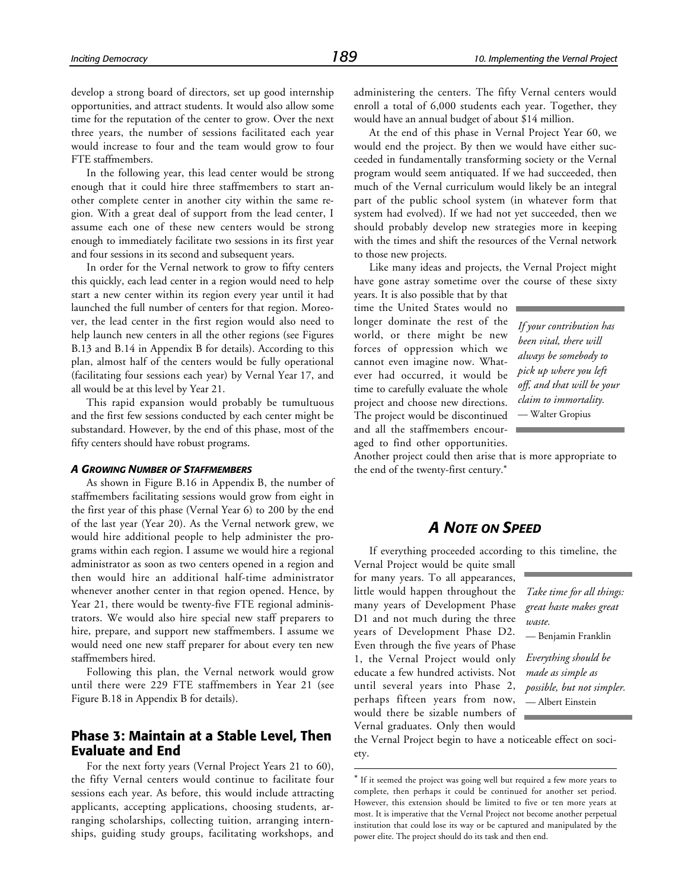develop a strong board of directors, set up good internship opportunities, and attract students. It would also allow some time for the reputation of the center to grow. Over the next three years, the number of sessions facilitated each year would increase to four and the team would grow to four FTE staffmembers.

In the following year, this lead center would be strong enough that it could hire three staffmembers to start another complete center in another city within the same region. With a great deal of support from the lead center, I assume each one of these new centers would be strong enough to immediately facilitate two sessions in its first year and four sessions in its second and subsequent years.

In order for the Vernal network to grow to fifty centers this quickly, each lead center in a region would need to help start a new center within its region every year until it had launched the full number of centers for that region. Moreover, the lead center in the first region would also need to help launch new centers in all the other regions (see Figures B.13 and B.14 in Appendix B for details). According to this plan, almost half of the centers would be fully operational (facilitating four sessions each year) by Vernal Year 17, and all would be at this level by Year 21.

This rapid expansion would probably be tumultuous and the first few sessions conducted by each center might be substandard. However, by the end of this phase, most of the fifty centers should have robust programs.

#### *A GROWING NUMBER OF STAFFMEMBERS*

As shown in Figure B.16 in Appendix B, the number of staffmembers facilitating sessions would grow from eight in the first year of this phase (Vernal Year 6) to 200 by the end of the last year (Year 20). As the Vernal network grew, we would hire additional people to help administer the programs within each region. I assume we would hire a regional administrator as soon as two centers opened in a region and then would hire an additional half-time administrator whenever another center in that region opened. Hence, by Year 21, there would be twenty-five FTE regional administrators. We would also hire special new staff preparers to hire, prepare, and support new staffmembers. I assume we would need one new staff preparer for about every ten new staffmembers hired.

Following this plan, the Vernal network would grow until there were 229 FTE staffmembers in Year 21 (see Figure B.18 in Appendix B for details).

# **Phase 3: Maintain at a Stable Level, Then Evaluate and End**

For the next forty years (Vernal Project Years 21 to 60), the fifty Vernal centers would continue to facilitate four sessions each year. As before, this would include attracting applicants, accepting applications, choosing students, arranging scholarships, collecting tuition, arranging internships, guiding study groups, facilitating workshops, and administering the centers. The fifty Vernal centers would enroll a total of 6,000 students each year. Together, they would have an annual budget of about \$14 million.

At the end of this phase in Vernal Project Year 60, we would end the project. By then we would have either succeeded in fundamentally transforming society or the Vernal program would seem antiquated. If we had succeeded, then much of the Vernal curriculum would likely be an integral part of the public school system (in whatever form that system had evolved). If we had not yet succeeded, then we should probably develop new strategies more in keeping with the times and shift the resources of the Vernal network to those new projects.

Like many ideas and projects, the Vernal Project might have gone astray sometime over the course of these sixty

years. It is also possible that by that time the United States would no longer dominate the rest of the world, or there might be new forces of oppression which we cannot even imagine now. Whatever had occurred, it would be time to carefully evaluate the whole project and choose new directions. The project would be discontinued and all the staffmembers encouraged to find other opportunities.

*If your contribution has been vital, there will always be somebody to pick up where you left off, and that will be your claim to immortality.* — Walter Gropius

Another project could then arise that is more appropriate to the end of the twenty-first century.\*

# *A NOTE ON SPEED*

If everything proceeded according to this timeline, the

Vernal Project would be quite small for many years. To all appearances, little would happen throughout the many years of Development Phase D1 and not much during the three years of Development Phase D2. Even through the five years of Phase 1, the Vernal Project would only educate a few hundred activists. Not until several years into Phase 2, perhaps fifteen years from now, would there be sizable numbers of Vernal graduates. Only then would

 $\overline{a}$ 

*Take time for all things: great haste makes great waste.* — Benjamin Franklin

*Everything should be made as simple as possible, but not simpler.* — Albert Einstein

the Vernal Project begin to have a noticeable effect on society.

<sup>\*</sup> If it seemed the project was going well but required a few more years to complete, then perhaps it could be continued for another set period. However, this extension should be limited to five or ten more years at most. It is imperative that the Vernal Project not become another perpetual institution that could lose its way or be captured and manipulated by the power elite. The project should do its task and then end.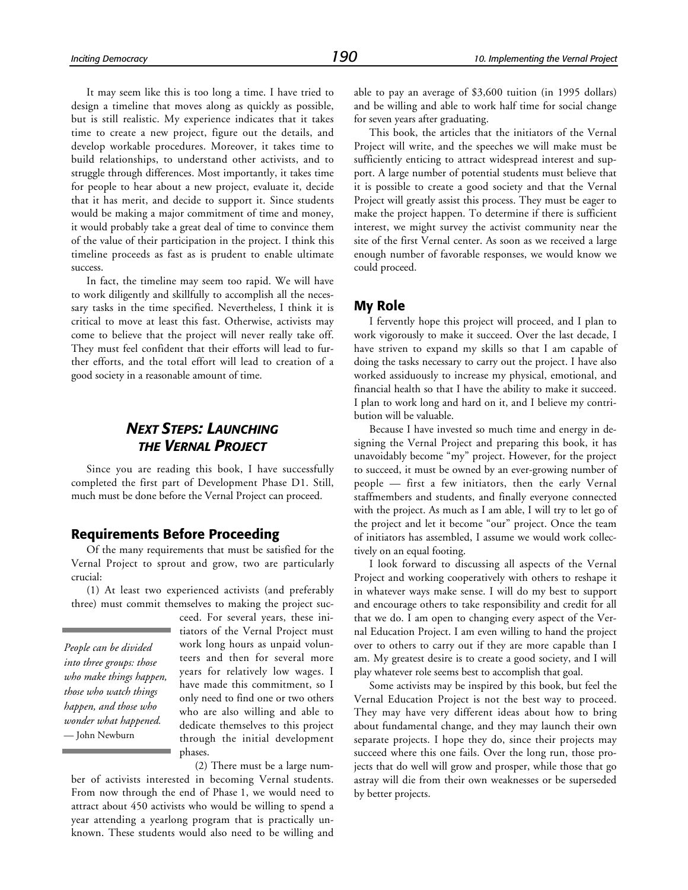It may seem like this is too long a time. I have tried to design a timeline that moves along as quickly as possible, but is still realistic. My experience indicates that it takes time to create a new project, figure out the details, and develop workable procedures. Moreover, it takes time to build relationships, to understand other activists, and to struggle through differences. Most importantly, it takes time for people to hear about a new project, evaluate it, decide that it has merit, and decide to support it. Since students would be making a major commitment of time and money, it would probably take a great deal of time to convince them of the value of their participation in the project. I think this timeline proceeds as fast as is prudent to enable ultimate success.

In fact, the timeline may seem too rapid. We will have to work diligently and skillfully to accomplish all the necessary tasks in the time specified. Nevertheless, I think it is critical to move at least this fast. Otherwise, activists may come to believe that the project will never really take off. They must feel confident that their efforts will lead to further efforts, and the total effort will lead to creation of a good society in a reasonable amount of time.

# *NEXT STEPS: LAUNCHING THE VERNAL PROJECT*

Since you are reading this book, I have successfully completed the first part of Development Phase D1. Still, much must be done before the Vernal Project can proceed.

#### **Requirements Before Proceeding**

Of the many requirements that must be satisfied for the Vernal Project to sprout and grow, two are particularly crucial:

(1) At least two experienced activists (and preferably three) must commit themselves to making the project suc-

*People can be divided into three groups: those who make things happen, those who watch things happen, and those who wonder what happened.* — John Newburn

ceed. For several years, these initiators of the Vernal Project must work long hours as unpaid volunteers and then for several more years for relatively low wages. I have made this commitment, so I only need to find one or two others who are also willing and able to dedicate themselves to this project through the initial development phases.

(2) There must be a large num-

ber of activists interested in becoming Vernal students. From now through the end of Phase 1, we would need to attract about 450 activists who would be willing to spend a year attending a yearlong program that is practically unknown. These students would also need to be willing and able to pay an average of \$3,600 tuition (in 1995 dollars) and be willing and able to work half time for social change for seven years after graduating.

This book, the articles that the initiators of the Vernal Project will write, and the speeches we will make must be sufficiently enticing to attract widespread interest and support. A large number of potential students must believe that it is possible to create a good society and that the Vernal Project will greatly assist this process. They must be eager to make the project happen. To determine if there is sufficient interest, we might survey the activist community near the site of the first Vernal center. As soon as we received a large enough number of favorable responses, we would know we could proceed.

#### **My Role**

I fervently hope this project will proceed, and I plan to work vigorously to make it succeed. Over the last decade, I have striven to expand my skills so that I am capable of doing the tasks necessary to carry out the project. I have also worked assiduously to increase my physical, emotional, and financial health so that I have the ability to make it succeed. I plan to work long and hard on it, and I believe my contribution will be valuable.

Because I have invested so much time and energy in designing the Vernal Project and preparing this book, it has unavoidably become "my" project. However, for the project to succeed, it must be owned by an ever-growing number of people — first a few initiators, then the early Vernal staffmembers and students, and finally everyone connected with the project. As much as I am able, I will try to let go of the project and let it become "our" project. Once the team of initiators has assembled, I assume we would work collectively on an equal footing.

I look forward to discussing all aspects of the Vernal Project and working cooperatively with others to reshape it in whatever ways make sense. I will do my best to support and encourage others to take responsibility and credit for all that we do. I am open to changing every aspect of the Vernal Education Project. I am even willing to hand the project over to others to carry out if they are more capable than I am. My greatest desire is to create a good society, and I will play whatever role seems best to accomplish that goal.

Some activists may be inspired by this book, but feel the Vernal Education Project is not the best way to proceed. They may have very different ideas about how to bring about fundamental change, and they may launch their own separate projects. I hope they do, since their projects may succeed where this one fails. Over the long run, those projects that do well will grow and prosper, while those that go astray will die from their own weaknesses or be superseded by better projects.